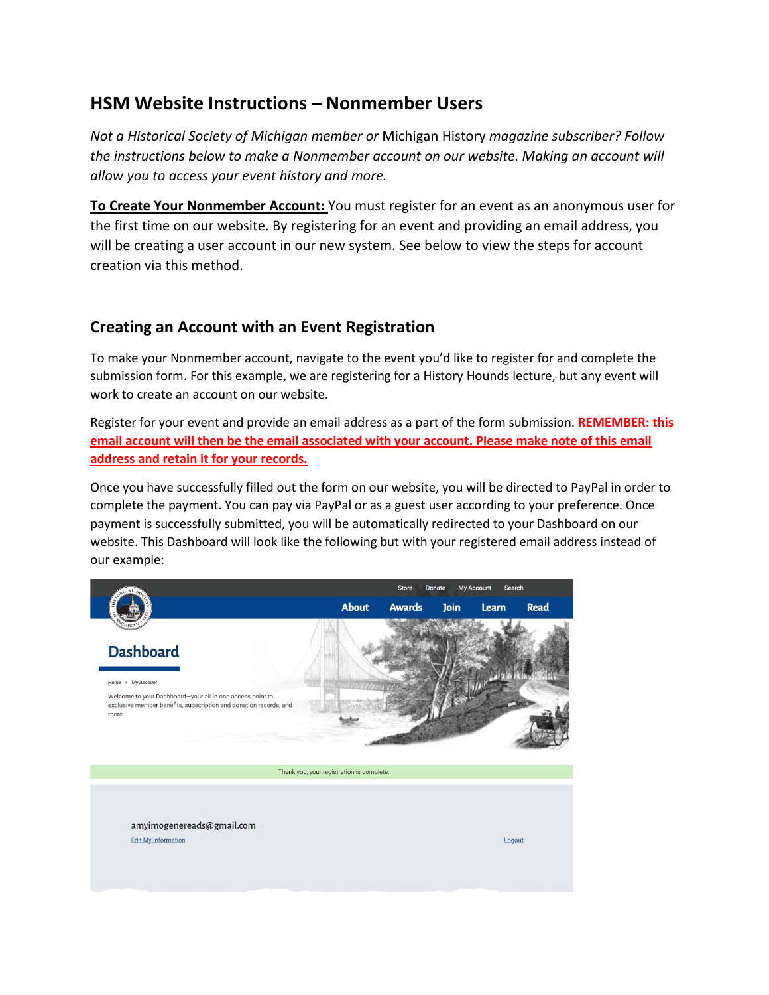# **HSM Website Instructions – Nonmember Users**

*Not a Historical Society of Michigan member or* Michigan History *magazine subscriber? Follow the instructions below to make a Nonmember account on our website. Making an account will allow you to access your event history and more.*

**To Create Your Nonmember Account:** You must register for an event as an anonymous user for the first time on our website. By registering for an event and providing an email address, you will be creating a user account in our new system. See below to view the steps for account creation via this method.

### **Creating an Account with an Event Registration**

To make your Nonmember account, navigate to the event you'd like to register for and complete the submission form. For this example, we are registering for a History Hounds lecture, but any event will work to create an account on our website.

Register for your event and provide an email address as a part of the form submission. **REMEMBER: this email account will then be the email associated with your account. Please make note of this email address and retain it for your records.**

Once you have successfully filled out the form on our website, you will be directed to PayPal in order to complete the payment. You can pay via PayPal or as a guest user according to your preference. Once payment is successfully submitted, you will be automatically redirected to your Dashboard on our website. This Dashboard will look like the following but with your registered email address instead of our example:

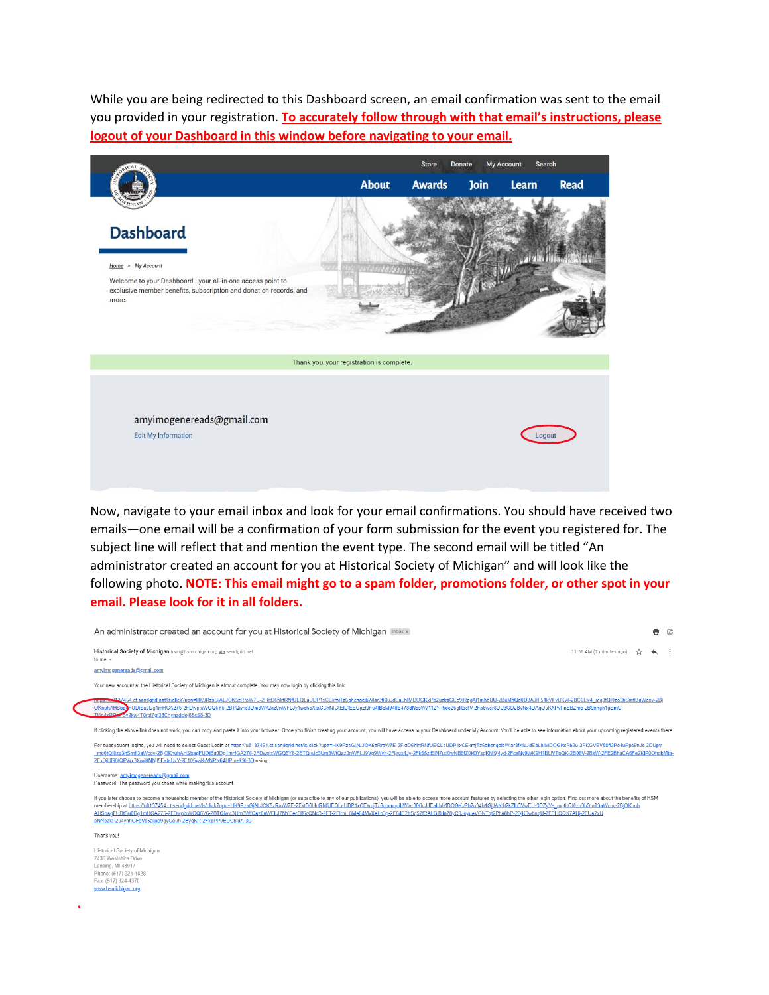While you are being redirected to this Dashboard screen, an email confirmation was sent to the email you provided in your registration. **To accurately follow through with that email's instructions, please logout of your Dashboard in this window before navigating to your email.** 



Now, navigate to your email inbox and look for your email confirmations. You should have received two emails—one email will be a confirmation of your form submission for the event you registered for. The subject line will reflect that and mention the event type. The second email will be titled "An administrator created an account for you at Historical Society of Michigan" and will look like the following photo. **NOTE: This email might go to a spam folder, promotions folder, or other spot in your email. Please look for it in all folders.**

| An administrator created an account for you at Historical Society of Michigan Inbox x                                                                                                                                                                                                                                                                                                                                                                                                                                                                                                                                                                                                           |                          | ē | Ø |
|-------------------------------------------------------------------------------------------------------------------------------------------------------------------------------------------------------------------------------------------------------------------------------------------------------------------------------------------------------------------------------------------------------------------------------------------------------------------------------------------------------------------------------------------------------------------------------------------------------------------------------------------------------------------------------------------------|--------------------------|---|---|
| Historical Society of Michigan hsm@hsmichigan.org via sendgrid.net<br>to me $-$                                                                                                                                                                                                                                                                                                                                                                                                                                                                                                                                                                                                                 | 11:56 AM (7 minutes ago) |   |   |
| amvimogenereads@gmail.com                                                                                                                                                                                                                                                                                                                                                                                                                                                                                                                                                                                                                                                                       |                          |   |   |
| Your new account at the Historical Society of Michigan is almost complete. You may now login by clicking this link:                                                                                                                                                                                                                                                                                                                                                                                                                                                                                                                                                                             |                          |   |   |
| #-\$437454.ct.sendqrid.net/ls/click?upn=HK9RzsGiALJOK5zRroW7E-2FktD6hlrtRNfUEQLaUDP1xCEkm Tz6qhcnqcibWlar3fKluJdEaLhlMDOGKxPb2uzkeGEo9iRpqAi1mhbUU-2BuMhQd0D8A9IF51kYFvUKW-2BC6Lw4_mq0tQl0zo3hSmfl3aWcov-2Bj<br>OKnuhAHSbayFUDtBu0Dq1mHGA276-2FDwplxWGQ6Y6-2BTQiwic3Um3WfQaz0nWFLJv1wchoXtaCChNIGtEICIEEUqzt0Fu4lBpM04llE478dNdsW71121P5de26qRsetV-2Fa8wer8DU3GD2BvNx4DAqOuKXPvPnEBZms-2B9nnqh1qEmC<br>Ti5o4xBO xx by2kw4T0rgl7gf33Chynzdcloj65cS8-3D                                                                                                                                                                                                                                           |                          |   |   |
| If clicking the above link does not work, you can copy and paste it into your browser. Once you finish creating your account, you will have access to your Dashboard under My Account. You'll be able to see information about                                                                                                                                                                                                                                                                                                                                                                                                                                                                  |                          |   |   |
| For subsequent logins, you will need to select Guest Login at https://u8137454.ct.sendqrid.net/ls/click?upn=HK9RzsGjALJOK5zRroW7E-2FktD6hlrtRNfUEQLaUDP1xCEkmjTz6qhcnqcibWlar3fKluJdEaLhIMDOGKxPb2u-2FKGVBV80fl3Po4uPps9nJc-3D<br>mg0tQl0zo3hSmfl3aWcov-2BjOKnuhAHSbagFUDtBu0Dg1mHGA276-2FDwplxWGQ6Y6-2BTQiwic3Um3WfQaz0nWFLJ9Vg9Wvh-2Filrux4Jy-2Fk55ztEIN7utl0wNB8fZ0kDYsgKNi9j4yd-2FcaNy9WK9H1BLIVTpQK-2B06V-2BxW-2FE2BhaCA6Fe2KiP0OhdbMto-<br>2FxDjHf98tQPWx3XmiKNNjl5FataUzY-2F105yaKrVNPN64HPmek9l-3D using:                                                                                                                                                                               |                          |   |   |
| Username: amyimogenereads@gmail.com<br>Password: The password you chose while making this account.                                                                                                                                                                                                                                                                                                                                                                                                                                                                                                                                                                                              |                          |   |   |
| If you later choose to become a household member of the Historical Society of Michigan (or subscribe to any of our publications), you will be able to access more account features by selecting the other login option. Find o<br>membership at https://u8137454.ct.sendgrid.net/ls/click?upn=HK9RzsGiALJOK5zRroW7E-2FktD6hlrtRNfUEQLaUDP1xCEkmiTz6ghcngcibWlar3fKluJdEaLhIMDOGKxPb2u34b1GiilAN1t2kZlb3VwEU-3DZvYe_mg0tQl0zo3hSmfl3aWcov-2BiOKnuh<br>AHSbagFUDtBu0Dg1mHGA276-2FDwplxWGQ6Y6-2BTQlwic3Um3WfQaz0nWFLJ7NYEec6lf6cQNd3-2FT-2FIrmL8Me04MvXeLn3g-2F64E2hSq52fRALGTHn78yC9JoyueVONTqt2Pha8hP-2BjK9wbnqU-2FPHQQK7AUj-2FUa2xU<br>aNNozkP2u4yhhGFqVa5zijuo9qyGauh-2ByqKR-2FkpPP9EDCbluA-3D |                          |   |   |
| Thank you!                                                                                                                                                                                                                                                                                                                                                                                                                                                                                                                                                                                                                                                                                      |                          |   |   |
| Historical Society of Michigan<br>7435 Westshire Drive<br>Lansing, MI 48917<br>Phone: (517) 324-1828<br>Fax: (517) 324-4370<br>www.hsmichigan.org                                                                                                                                                                                                                                                                                                                                                                                                                                                                                                                                               |                          |   |   |
|                                                                                                                                                                                                                                                                                                                                                                                                                                                                                                                                                                                                                                                                                                 |                          |   |   |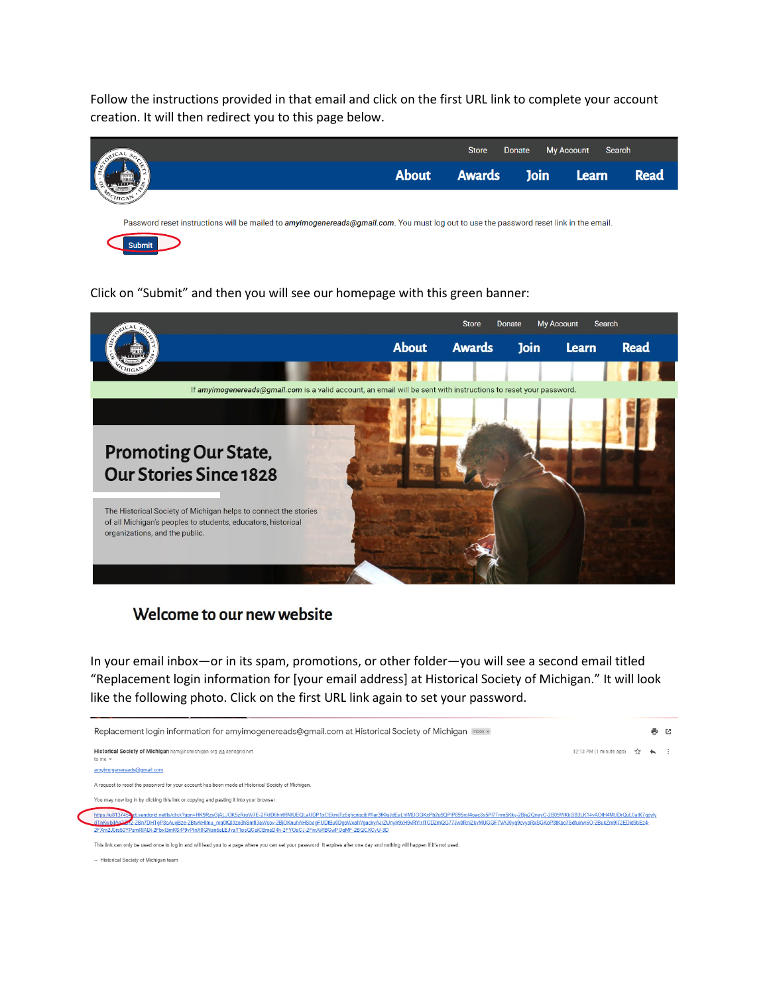Follow the instructions provided in that email and click on the first URL link to complete your account creation. It will then redirect you to this page below.



#### Click on "Submit" and then you will see our homepage with this green banner:



#### Welcome to our new website

In your email inbox—or in its spam, promotions, or other folder—you will see a second email titled "Replacement login information for [your email address] at Historical Society of Michigan." It will look like the following photo. Click on the first URL link again to set your password.



-- Historical Society of Michigan team